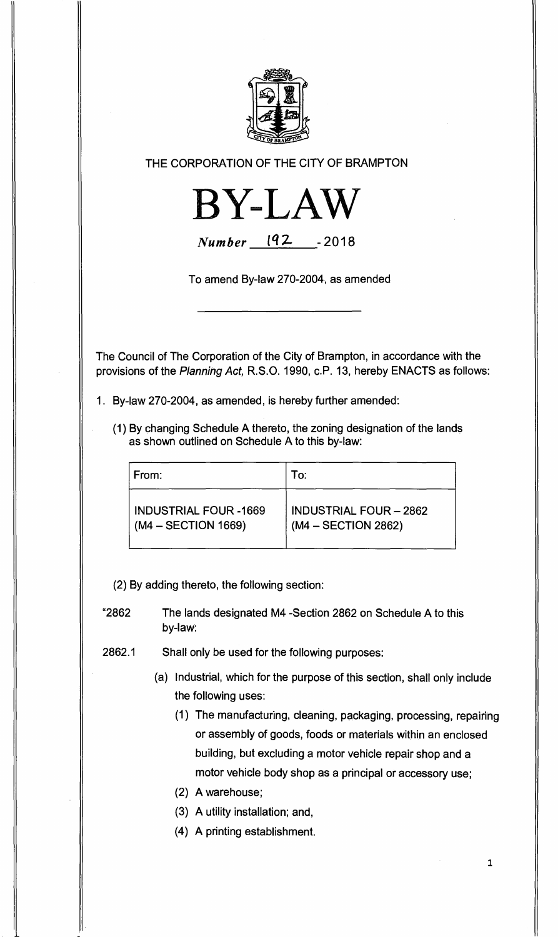

## **THE CORPORATION OF THE CITY OF BRAMPTON**



**Number** 192 -2018

**To amend By-law 270-2004, as amended** 

**The Council of The Corporation of the City of Brampton, in accordance with the provisions of the Planning Act, R.S.O. 1990, c.P. 13, hereby ENACTS as follows:** 

- **1. By-law 270-2004, as amended, is hereby further amended:** 
	- **(1) By changing Schedule A thereto, the zoning designation of the lands as shown outlined on Schedule A to this by-law:**

| ∣ From:                      | To:                           |
|------------------------------|-------------------------------|
| <b>INDUSTRIAL FOUR -1669</b> | <b>INDUSTRIAL FOUR - 2862</b> |
| $(M4 - SECTION 1669)$        | $(M4 - SECTION 2862)$         |

**(2) By adding thereto, the following section:** 

- **"2862 The lands designated M4 -Section 2862 on Schedule A to this by-law:**
- **2862.1 Shall only be used for the following purposes:** 
	- **(a) Industrial, which for the purpose of this section, shall only include the following uses:** 
		- **(1) The manufacturing, cleaning, packaging, processing, repairing or assembly of goods, foods or materials within an enclosed building, but excluding a motor vehicle repair shop and a motor vehicle body shop as a principal or accessory use;**
		- **(2) A warehouse;**
		- **(3) A utility installation; and,**
		- **(4) A printing establishment.**

**1**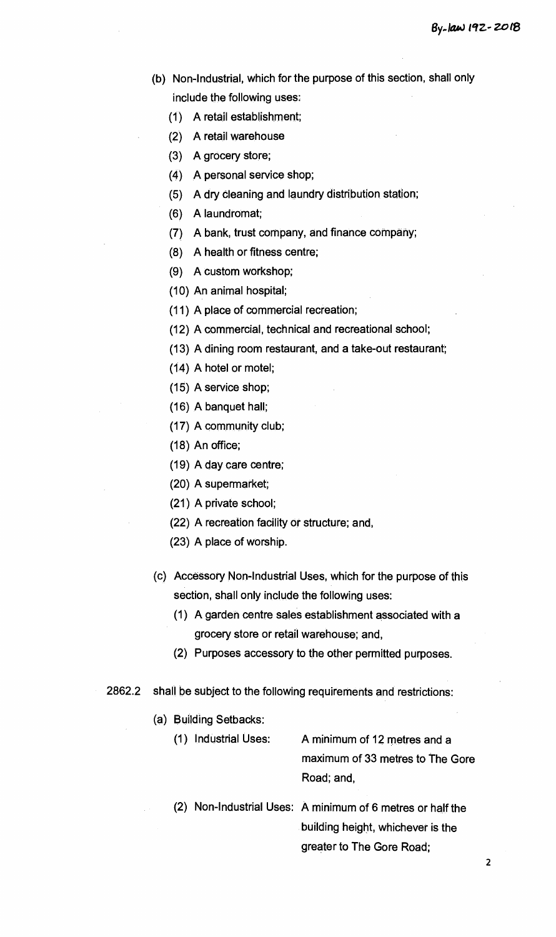- **(b) Non-Industrial, which for the purpose of this section, shall only include the following uses:** 
	- **(1) A retail establishment;**
	- **(2) A retail warehouse**
	- **(3) A grocery store;**
	- **(4) A personal service shop;**
	- **(5) A dry Cleaning and laundry distribution station;**
	- **(6) A laundromat;**
	- **(7) A bank, trust company, and finance company;**
	- **(8) A health or fitness centre;**
	- **(9) A custom workshop;**
	- **(10) An animal hospital;**
	- **(11) A place of commercial recreation;**
	- **(12) A commercial, technical and recreational school;**
	- **(13) A dining room restaurant, and a take-out restaurant;**
	- **(14) A hotel or motel;**
	- **(15) A service shop;**
	- **(16) A banquet hall;**
	- **(17) A community club;**
	- **(18) An office;**
	- **(19) A day care centre;**
	- **(20) A supermarket;**
	- **(21) A private school;**
	- **(22) A recreation facility or structure; and,**
	- **(23) A place of worship.**
- **(c) Accessory Non-Industrial Uses, which for the purpose of this section, shall only include the following uses:** 
	- **(1) A garden centre sales establishment associated with a grocery store or retail warehouse; and,**
	- **(2) Purposes accessory to the other permitted purposes.**
- **2862.2 shall be subject to the following requirements and restrictions:** 
	- **(a) Building Setbacks:** 
		- **(1) Industrial Uses: A minimum of 12 metres and a maximum of 33 metres to The Gore Road; and,**
		- **(2) Non-Industrial Uses: A minimum of 6 metres or half the building height, whichever is the greater to The Gore Road;**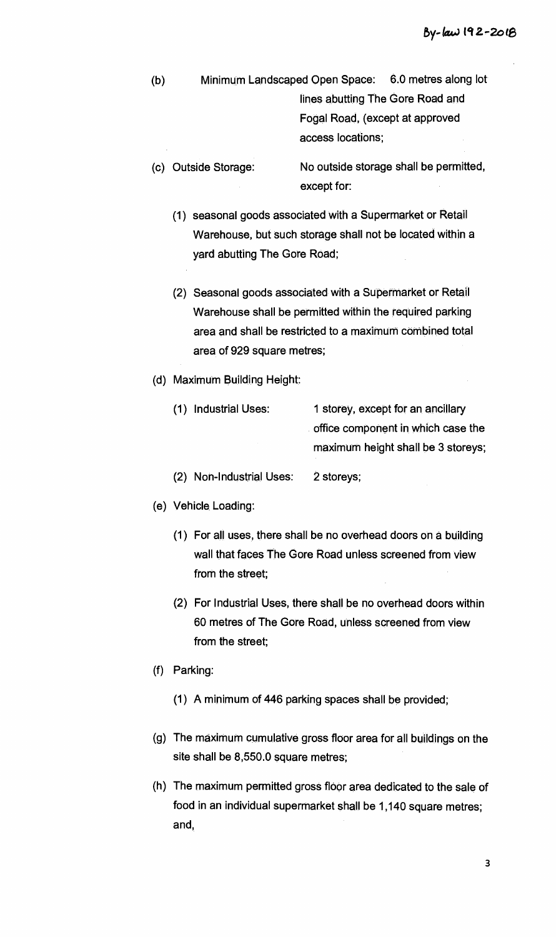(b) Minimum Landscaped Open Space: 6.0 metres along lot lines abutting The Gore Road and Fogal Road, (except at approved access locations;

- (c) Outside Storage: No outside storage shall be permitted, except for:
	- (1) seasonal goods associated with a Supermarket or Retail Warehouse, but such storage shall not be located within a yard abutting The Gore Road;
	- (2) Seasonal goods associated with a Supermarket or Retail Warehouse shall be permitted within the required parking area and shall be restricted to a maximum combined total area of 929 square metres;
- (d) Maximum Building Height:
	- (1) Industrial Uses: 1 storey, except for an ancillary office component in which case the maximum height shall be 3 storeys;
	- (2) Non-Industrial Uses: 2 storeys;
- (e) Vehicle. Loading:
	- (1) For all uses, there shall be no overhead doors on a building wall that faces The Gore Road unless screened from view from the street;
	- (2) For Industrial Uses, there shall be no overhead doors within 60 metres of The Gore Road, unless screened from view from the street;
- (f) Parking:
	- (1) A minimum of 446 parking spaces shall be provided;
- (g) The maximum cumulative gross floor area for all buildings on the site shall be 8,550.0 square metres;
- (h) The maximum permitted gross floor area dedicated to the sale of food in an individual supermarket shall be 1,140 square metres; and,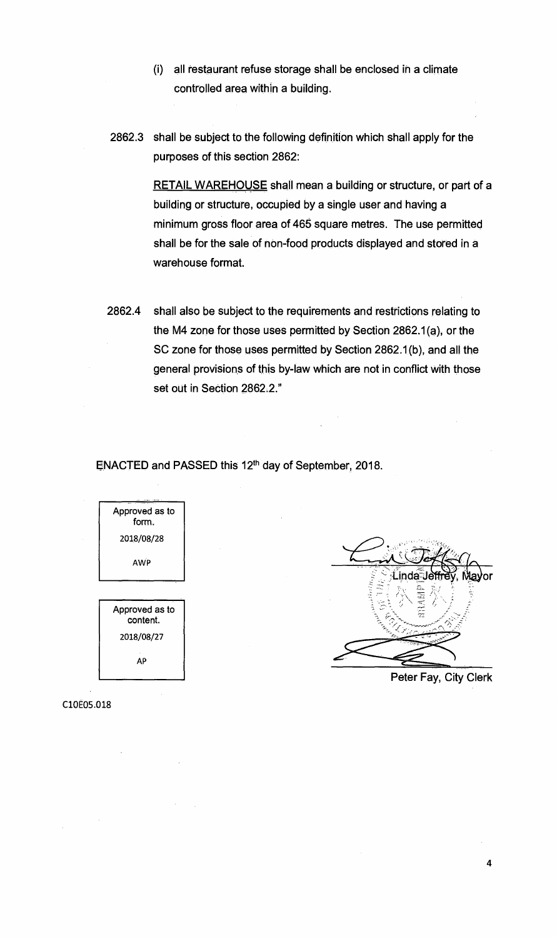- **(i) all restaurant refuse storage shall be enclosed in a climate controlled area within a building.**
- **2862.3 shall be subject to the following definition which shall apply for the purposes of this section 2862:**

**RETAIL WAREHOUSE shall mean a building or structure, or part of a building or structure, occupied by a single user and having a minimum gross floor area of 465 square metres. The use permitted shall be for the sale of non-food products displayed and stored in a warehouse format.** 

**2862.4 shall also be subject to the requirements and restrictions relating to the M4 zone for those uses permitted by Section 2862.1(a), or the SC zone for those uses permitted by Section 2862.1(b), and all the general provisions of this by-law which are not in conflict with those set out in Section 2862.2."** 

**ENACTED and PASSED this 12th day of September, 2018.** 



## Linda≅

**Peter Fay, City Clerk** 

C10E05.018

4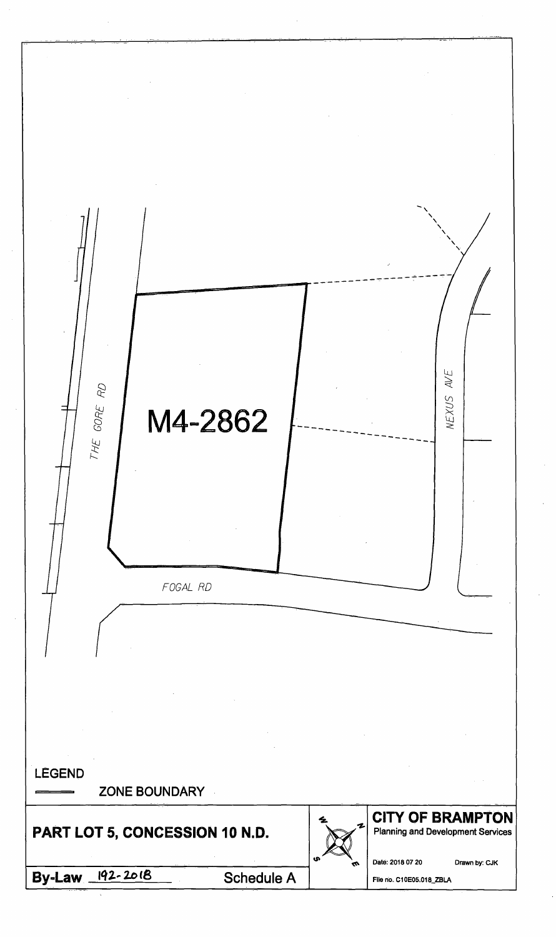